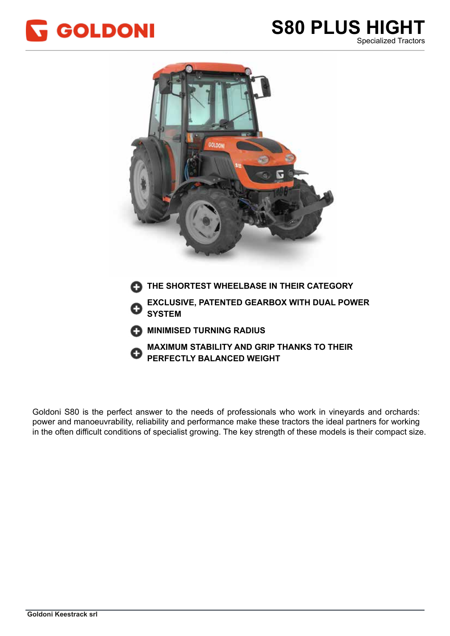



Goldoni S80 is the perfect answer to the needs of professionals who work in vineyards and orchards: power and manoeuvrability, reliability and performance make these tractors the ideal partners for working power and manoeuvrability, reliability and performance make these tractors the ideal partners for working power and manocaviability, reliability and performance make these tracters the facal partners for working<br>in the often difficult conditions of specialist growing. The key strength of these models is their compact size.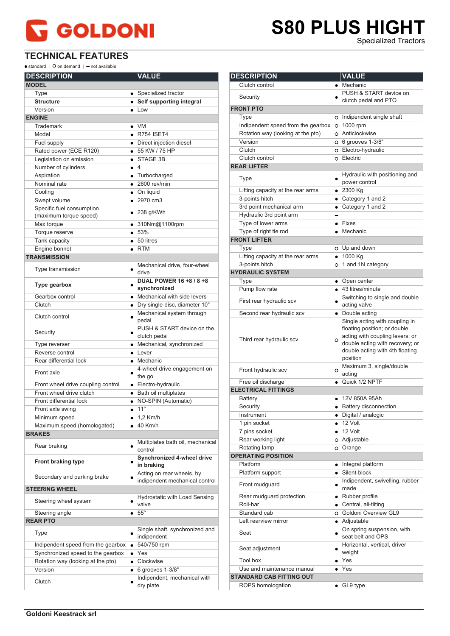#### **PLUS HIGHT S80 PLUS HIGHT**<br>Specialized Tractors

**TECHNICAL FEATURES**

 $\bullet$  standard |  $\bullet$  on demand |  $\bullet$  not available

| <b>DESCRIPTION</b>                 | <b>VALUE</b>                           |
|------------------------------------|----------------------------------------|
| <b>MODEL</b>                       |                                        |
| Type                               | • Specialized tractor                  |
| <b>Structure</b>                   | • Self supporting integral             |
| Version                            | $\bullet$ Low                          |
| <b>ENGINE</b>                      |                                        |
| Trademark                          | $\bullet$ VM                           |
| Model                              | $\bullet$ R754 ISET4                   |
| Fuel supply                        | • Direct injection diesel              |
| Rated power (ECE R120)             | • 55 KW / 75 HP                        |
| Legislation on emission            | STAGE 3B                               |
| Number of cylinders                | $\bullet$ 4                            |
| Aspiration                         | • Turbocharged                         |
| Nominal rate                       | $\bullet$ 2600 rev/min                 |
| Cooling                            | • On liquid                            |
| Swept volume                       | $\bullet$ 2970 cm3                     |
| Specific fuel consumption          |                                        |
| (maximum torque speed)             | $\bullet$ 238 g/KWh                    |
| Max torque                         | ● 310Nm@1100rpm                        |
| Torque reserve                     | • 53%                                  |
| Tank capacity                      | $\bullet$ 50 litres                    |
| Engine bonnet                      | $\bullet$ RTM                          |
| <b>TRANSMISSION</b>                |                                        |
|                                    | Mechanical drive, four-wheel           |
| Type transmission                  | drive                                  |
|                                    | DUAL POWER 16 +8 / 8 +8                |
| <b>Type gearbox</b>                | synchronized                           |
| Gearbox control                    | • Mechanical with side levers          |
| Clutch                             | • Dry single-disc, diameter 10"        |
|                                    | Mechanical system through              |
| Clutch control                     | pedal                                  |
|                                    | PUSH & START device on the             |
| Security                           | clutch pedal                           |
| Type reverser                      | • Mechanical, synchronized             |
| Reverse control                    | $\bullet$ Lever                        |
| Rear differential lock             | • Mechanic                             |
| Front axle                         | 4-wheel drive engagement on            |
|                                    | the go                                 |
| Front wheel drive coupling control | • Electro-hydraulic                    |
| Front wheel drive clutch           | · Bath oil multiplates                 |
| Front differential lock            | • NO-SPIN (Automatic)                  |
| Front axle swing                   | $11^{\circ}$<br>$\bullet$              |
| Minimum speed                      | $1,2$ Km/h                             |
| Maximum speed (homologated)        | 40 Km/h                                |
| <b>BRAKES</b>                      |                                        |
| Rear braking                       | Multiplates bath oil, mechanical       |
|                                    | control                                |
| Front braking type                 | Synchronized 4-wheel drive             |
|                                    | in braking                             |
| Secondary and parking brake        | Acting on rear wheels, by              |
|                                    | indipendent mechanical control         |
| <b>STEERING WHEEL</b>              |                                        |
| Steering wheel system              | Hydrostatic with Load Sensing<br>valve |
| Steering angle                     | $55^{\circ}$                           |
| <b>REAR PTO</b>                    |                                        |
|                                    | Single shaft, synchronized and         |
| Type                               | indipendent                            |
| Indipendent speed from the gearbox | 540/750 rpm<br>٠                       |
| Synchronized speed to the gearbox  | Yes<br>٠                               |
| Rotation way (looking at the pto)  | Clockwise<br>$\bullet$                 |
| Version                            | 6 grooves 1-3/8"                       |
|                                    | Indipendent, mechanical with           |
| Clutch                             | dry plate                              |
|                                    |                                        |

| <b>DESCRIPTION</b>                 |                        | <b>VALUE</b>                                |
|------------------------------------|------------------------|---------------------------------------------|
| Clutch control                     |                        | • Mechanic                                  |
|                                    |                        | PUSH & START device on                      |
| Security                           |                        | clutch pedal and PTO                        |
| <b>FRONT PTO</b>                   |                        |                                             |
| Type                               |                        | o Indipendent single shaft                  |
| Indipendent speed from the gearbox |                        | O 1000 rpm                                  |
| Rotation way (looking at the pto)  |                        | O Anticlockwise                             |
| Version                            |                        | $O$ 6 grooves 1-3/8"                        |
| Clutch                             |                        | O Electro-hydraulic                         |
| Clutch control                     |                        | o Electric                                  |
| <b>REAR LIFTER</b>                 |                        |                                             |
|                                    |                        | Hydraulic with positioning and              |
| Type                               |                        | power control                               |
| Lifting capacity at the rear arms  |                        | $\bullet$ 2300 Kg                           |
| 3-points hitch                     |                        | • Category 1 and 2                          |
| 3rd point mechanical arm           |                        | • Category 1 and 2                          |
| Hydraulic 3rd point arm            |                        |                                             |
| Type of lower arms                 |                        | $\bullet$ Fixes                             |
| Type of right tie rod              |                        | • Mechanic                                  |
| <b>FRONT LIFTER</b>                |                        |                                             |
| Type                               |                        | O Up and down                               |
| Lifting capacity at the rear arms  |                        | $• 1000$ Kg                                 |
| 3-points hitch                     |                        | o 1 and 1N category                         |
| <b>HYDRAULIC SYSTEM</b>            |                        |                                             |
| Type                               |                        | • Open center                               |
| Pump flow rate                     |                        | • 43 litres/minute                          |
|                                    |                        | Switching to single and double              |
| First rear hydraulic scv           |                        | acting valve                                |
| Second rear hydraulic scv          |                        | • Double acting                             |
|                                    |                        | Single acting with coupling in              |
|                                    |                        | floating position; or double                |
| Third rear hydraulic scv           | $\circ$                | acting with coupling levers; or             |
|                                    |                        | double acting with recovery; or             |
|                                    |                        | double acting with 4th floating<br>position |
|                                    |                        | Maximum 3, single/double                    |
| Front hydraulic scv                | $\circ$                | acting                                      |
| Free oil discharge                 |                        | • Quick 1/2 NPTF                            |
| <b>ELECTRICAL FITTINGS</b>         |                        |                                             |
| Battery                            |                        | 12V 850A 95Ah                               |
| Security                           |                        | • Battery disconnection                     |
| Instrument                         |                        | · Digital / analogic                        |
| 1 pin socket                       | $\bullet$              | 12 Volt                                     |
| 7 pins socket                      |                        | $\bullet$ 12 Volt                           |
| Rear working light                 |                        | O Adjustable                                |
| Rotating lamp                      |                        | O Orange                                    |
| <b>OPERATING POSITION</b>          |                        |                                             |
| Platform                           |                        | Integral platform                           |
| Platform support                   | $\bullet$<br>$\bullet$ | Silent-block                                |
|                                    |                        | Indipendent, swivelling, rubber             |
| Front mudquard                     |                        | made                                        |
| Rear mudguard protection           |                        | • Rubber profile                            |
| Roll-bar                           |                        | • Central, all-tilting                      |
| Standard cab                       |                        | O Goldoni Overview GL9                      |
| Left rearview mirror               |                        | • Adjustable                                |
|                                    |                        | On spring suspension, with                  |
| Seat                               |                        | seat belt and OPS                           |
|                                    |                        | Horizontal, vertical, driver                |
| Seat adjustment                    |                        | weight                                      |
| <b>Tool box</b>                    |                        | $\overline{\bullet}$ Yes                    |
| Use and maintenance manual         |                        | Yes                                         |
| <b>STANDARD CAB FITTING OUT</b>    |                        |                                             |
| ROPS homologation                  | ٠                      | GL9 type                                    |
|                                    |                        |                                             |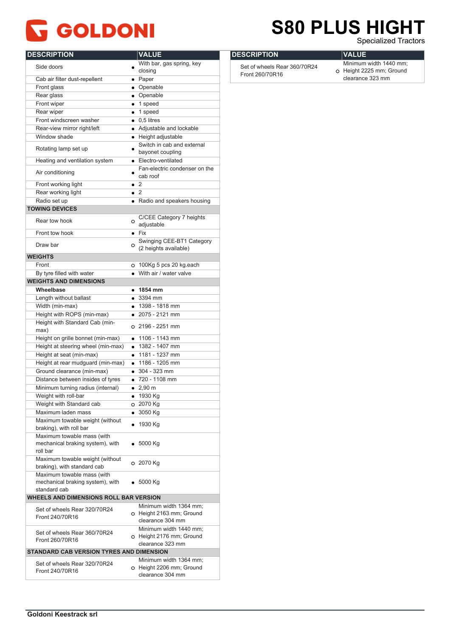### **S80 PLUS HIGH S80 PLUS HIGHT**

Specialized Tractors Specialized Tractors

| <b>DESCRIPTION</b>                                         | <b>VALUE</b>           |                               |
|------------------------------------------------------------|------------------------|-------------------------------|
| Side doors                                                 |                        | With bar, gas spring, key     |
|                                                            | closing                |                               |
| Cab air filter dust-repellent                              | $\bullet$ Paper        |                               |
| Front glass                                                | • Openable             |                               |
| Rear glass                                                 | • Openable             |                               |
| Front wiper                                                | $\bullet$ 1 speed      |                               |
| Rear wiper                                                 | $\bullet$ 1 speed      |                               |
| Front windscreen washer                                    | $\bullet$ 0.5 litres   |                               |
| Rear-view mirror right/left                                |                        | • Adjustable and lockable     |
| Window shade                                               |                        | • Height adjustable           |
|                                                            |                        | Switch in cab and external    |
| Rotating lamp set up                                       |                        | bayonet coupling              |
| Heating and ventilation system                             |                        | • Electro-ventilated          |
|                                                            |                        | Fan-electric condenser on the |
| Air conditioning                                           | cab roof               |                               |
| Front working light                                        | $\bullet$ 2            |                               |
| Rear working light                                         | $\bullet$ 2            |                               |
| Radio set up                                               |                        | • Radio and speakers housing  |
| <b>TOWING DEVICES</b>                                      |                        |                               |
|                                                            |                        | C/CEE Category 7 heights      |
| Rear tow hook                                              | $\circ$<br>adjustable  |                               |
| Front tow hook                                             | $\bullet$ Fix          |                               |
|                                                            |                        | Swinging CEE-BT1 Category     |
| Draw bar                                                   | O                      | (2 heights available)         |
| <b>WEIGHTS</b>                                             |                        |                               |
| Front                                                      |                        | O 100Kg 5 pcs 20 kg.each      |
| By tyre filled with water                                  |                        | • With air / water valve      |
| <b>WEIGHTS AND DIMENSIONS</b>                              |                        |                               |
| Wheelbase                                                  | $\bullet$ 1854 mm      |                               |
| Length without ballast                                     | $\bullet$ 3394 mm      |                               |
| Width (min-max)                                            |                        | $\bullet$ 1398 - 1818 mm      |
| Height with ROPS (min-max)                                 |                        | $\bullet$ 2075 - 2121 mm      |
| Height with Standard Cab (min-                             |                        |                               |
| max)                                                       |                        | O 2196 - 2251 mm              |
| Height on grille bonnet (min-max)                          |                        | $\bullet$ 1106 - 1143 mm      |
| Height at steering wheel (min-max)                         |                        | $\bullet$ 1382 - 1407 mm      |
| Height at seat (min-max)                                   |                        | $\bullet$ 1181 - 1237 mm      |
| Height at rear mudguard (min-max)                          |                        | $\bullet$ 1186 - 1205 mm      |
| Ground clearance (min-max)                                 | $\bullet$ 304 - 323 mm |                               |
| Distance between insides of tyres                          |                        | $\bullet$ 720 - 1108 mm       |
| Minimum turning radius (internal)                          | $\bullet$ 2,90 m       |                               |
| Weight with roll-bar                                       | • 1930 Kg              |                               |
| Weight with Standard cab                                   | O 2070 Kg              |                               |
| Maximum laden mass                                         | 3050 Kg                |                               |
|                                                            | $\bullet$              |                               |
| Maximum towable weight (without<br>braking), with roll bar | 1930 Kg                |                               |
| Maximum towable mass (with                                 |                        |                               |
| mechanical braking system), with                           | 5000 Kg                |                               |
| roll bar                                                   |                        |                               |
| Maximum towable weight (without                            |                        |                               |
| braking), with standard cab                                | O 2070 Kg              |                               |
| Maximum towable mass (with                                 |                        |                               |
| mechanical braking system), with                           | 5000 Kg                |                               |
| standard cab                                               |                        |                               |
| <b>WHEELS AND DIMENSIONS ROLL BAR VERSION</b>              |                        |                               |
|                                                            |                        | Minimum width 1364 mm;        |
| Set of wheels Rear 320/70R24                               |                        | O Height 2163 mm; Ground      |
| Front 240/70R16                                            |                        | clearance 304 mm              |
|                                                            |                        | Minimum width 1440 mm;        |
| Set of wheels Rear 360/70R24<br>Front 260/70R16            |                        | O Height 2176 mm; Ground      |
|                                                            |                        | clearance 323 mm              |
| STANDARD CAB VERSION TYRES AND DIMENSION                   |                        |                               |
| Set of wheels Rear 320/70R24                               |                        | Minimum width 1364 mm;        |
| Front 240/70R16                                            |                        | O Height 2206 mm; Ground      |
|                                                            |                        | clearance 304 mm              |
|                                                            |                        |                               |

| <b>DESCRIPTION</b>           | <b>VALUE</b>                   |
|------------------------------|--------------------------------|
| Set of wheels Rear 360/70R24 | Minimum wic                    |
| Front 260/70R16              | O Height 2225<br>$\frac{1}{2}$ |

Ith  $1440$  mm; mm; Ground clearance 323 mm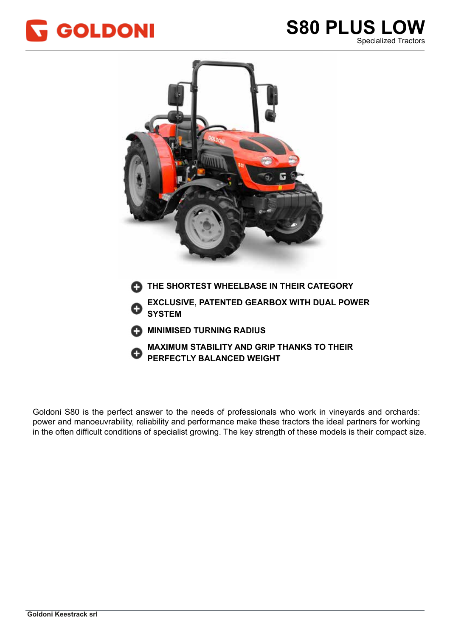



**PERFECTLY BALANCED WEIGHT** 

Goldoni S80 is the perfect answer to the needs of professionals who work in vineyards and orchards: power and manoeuvrability, reliability and performance make these tractors the ideal partners for working power and manoeuvrability, reliability and performance make these tractors the ideal partners for working power and manocaviability, reliability and performance make these tracters the facal partners for working<br>in the often difficult conditions of specialist growing. The key strength of these models is their compact size.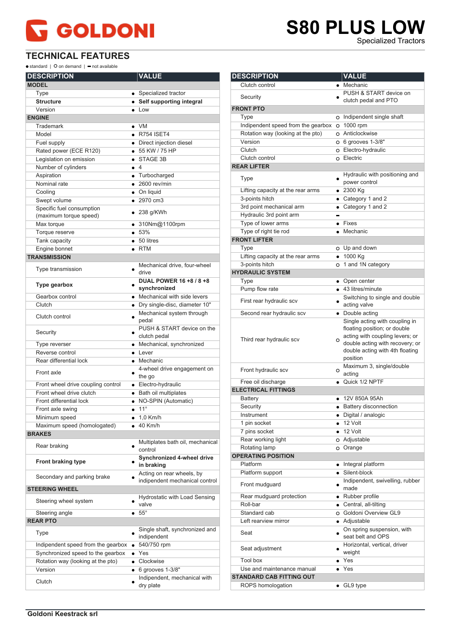#### **TECHNICAL FEATURES**

 $\bullet$  standard |  $\bullet$  on demand |  $\bullet$  not available

| <b>DESCRIPTION</b>                 |           | <b>VALUE</b>                                  |
|------------------------------------|-----------|-----------------------------------------------|
| <b>MODEL</b>                       |           |                                               |
| Type                               |           | • Specialized tractor                         |
| <b>Structure</b>                   |           | • Self supporting integral                    |
| Version                            |           | $\bullet$ Low                                 |
| <b>ENGINE</b>                      |           |                                               |
| Trademark                          |           | $\bullet$ VM                                  |
| Model                              |           | $\bullet$ R754 ISET4                          |
| Fuel supply                        |           | • Direct injection diesel                     |
| Rated power (ECE R120)             |           | $-55$ KW / 75 HP                              |
| Legislation on emission            |           | STAGE 3B                                      |
| Number of cylinders                |           | $\bullet$ 4<br>$\bullet$ Turbocharged         |
| Aspiration<br>Nominal rate         |           | $\bullet$ 2600 rev/min                        |
| Cooling                            |           | • On liquid                                   |
| Swept volume                       |           | • 2970 cm3                                    |
| Specific fuel consumption          |           |                                               |
| (maximum torque speed)             |           | $\bullet$ 238 g/KWh                           |
| Max torque                         |           | $\bullet$ 310Nm@1100rpm                       |
| Torque reserve                     |           | • 53%                                         |
| Tank capacity                      |           | $\bullet$ 50 litres                           |
| Engine bonnet                      |           | $\bullet$ RTM                                 |
| <b>TRANSMISSION</b>                |           |                                               |
| Type transmission                  | ٠         | Mechanical drive, four-wheel<br>drive         |
| Type gearbox                       |           | DUAL POWER 16 +8 / 8 +8<br>synchronized       |
| Gearbox control                    |           | • Mechanical with side levers                 |
| Clutch                             |           | • Dry single-disc, diameter 10"               |
| Clutch control                     |           | Mechanical system through<br>pedal            |
| Security                           |           | PUSH & START device on the<br>clutch pedal    |
| Type reverser                      |           | • Mechanical, synchronized                    |
| Reverse control                    |           | $\bullet$ Lever                               |
| Rear differential lock             |           | • Mechanic                                    |
| Front axle                         |           | 4-wheel drive engagement on<br>the go         |
| Front wheel drive coupling control |           | • Electro-hydraulic                           |
| Front wheel drive clutch           |           | • Bath oil multiplates                        |
| Front differential lock            |           | • NO-SPIN (Automatic)                         |
| Front axle swing                   |           | $11^{\circ}$                                  |
| Minimum speed                      |           | 1,0 Km/h                                      |
| Maximum speed (homologated)        |           | 40 Km/h                                       |
| <b>BRAKES</b><br>Rear braking      |           | Multiplates bath oil, mechanical<br>control   |
| <b>Front braking type</b>          |           | Synchronized 4-wheel drive<br>in braking      |
| Secondary and parking brake        |           | Acting on rear wheels, by                     |
| <b>STEERING WHEEL</b>              |           | indipendent mechanical control                |
|                                    |           | Hydrostatic with Load Sensing                 |
| Steering wheel system              |           | valve<br>$55^{\circ}$                         |
| Steering angle<br><b>REAR PTO</b>  |           |                                               |
| Type                               |           | Single shaft, synchronized and<br>indipendent |
| Indipendent speed from the gearbox | ٠         | 540/750 rpm                                   |
| Synchronized speed to the gearbox  |           | Yes                                           |
| Rotation way (looking at the pto)  | $\bullet$ | Clockwise                                     |
| Version                            | $\bullet$ | 6 grooves 1-3/8"                              |
| Clutch                             |           | Indipendent, mechanical with<br>dry plate     |

#### **S80 PLUS LOW S80 PLUS LOW** Specialized Tractors Specialized Tractors**DESCRIPTION VALUE** Clutch control **Clutch control** Security PUSH & START device on clutch pedal and PTO **FRONT PTO** Type Type Type Indipendent single shaft Indipendent speed from the gearbox  $\circ$  1000 rpm Rotation way (looking at the pto) o Anticlockwise Version 0 6 grooves 1-3/8" Clutch Clutch Clutch Clutch Clutch Clutch Clutch Clutch Clutch Clutch Clutch Clutch Clutch Clutch Clutch Clutch Clutch control o Electric **REAR LIFTER** Type **Hydraulic with positioning and** power control Lifting capacity at the rear arms • 2300 Kg 3-points hitch <br>
• Category 1 and 2 3rd point mechanical arm **CALC CATEGORY** 1 and 2 Hydraulic 3rd point arm  $\overline{\phantom{0}}$ Type of lower arms  $\bullet$  Fixes Type of right tie rod Mechanic **FRONT LIFTER** Type Up and down Lifting capacity at the rear arms  $\bullet$  1000 Kg 3-points hitch 1 and 1N category **HYDRAULIC SYSTEM** Type **Open center or** Open center Pump flow rate  $\qquad \qquad \bullet$  43 litres/minute First rear hydraulic scv Switching to single and double acting valve Second rear hydraulic scv • Double acting Single acting with coupling in floating position; or double acting with coupling levers; or Third rear hydraulic scv  $\circ$ double acting with recovery; or double acting with 4th floating position Front hydraulic scv Maximum 3, single/double acting Free oil discharge **Quick 1/2 NPTF ELECTRICAL FITTINGS** Battery **12V 850A 95Ah** Security **Battery disconnection** Instrument Digital / analogic 1 pin socket 12 Volt 7 pins socket • 12 Volt Rear working light **Adjustable** C Adjustable Rotating lamp O Orange **OPERATING POSITION** Platform **Integral platform Integral platform** Platform support <br>
• Silent-block Front mudguard **Indipendent**, swivelling, rubber made Rear mudguard protection • Rubber profile Roll-bar **Central, all-tilting** Standard cab Goldoni Overview GL9 Left rearview mirror **Calculate** Adjustable Seat **On spring suspension, with**<br> **•** each helt and ODS

seat belt and OPS

weight

Seat adjustment Horizontal, vertical, driver

Tool box • Yes Use and maintenance manual • Yes

ROPS homologation <br>
• GL9 type

**STANDARD CAB FITTING OUT**